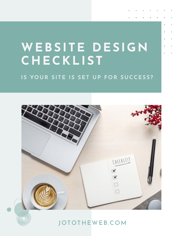# **WEBSITE DESIGN CHECKLIST**

## **IS YOUR SITE IS SET UP FOR SUCCESS?**





[JOTOTHEWEB.COM](https://jototheweb.com)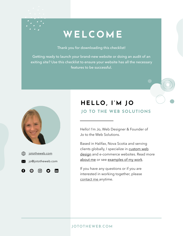# **WELCOME**

Thank you for downloading this checklist!

Getting ready to launch your brand-new website or doing an audit of an exiting site? Use this checklist to ensure your website has all the necessary features to be successful.



## **HELLO, I'M JO JO TO THE WEB SOLUTIONS**

Hello! I'm Jo, Web Designer & Founder of Jo to the Web Solutions.

Based in Halifax, Nova Scotia and serving clients globally, I specialize in [custom web](https://jotothewebcom/services) [design](https://jotothewebcom/services) and e-commerce websites. Read more [about me](https://jotothewebcom/about) or see [examples of my work](https://jotothewebcom/portfolio).

If you have any questions or if you are interested in working together, please [contact me](https://jototheweb.com/contact) anytime.

### [JOTOTHEWEB.COM](https://jototheweb.com)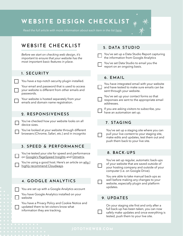# **WEBSITE DESIGN CHECKLIST**

*Read the full article with more information about each item in the list [here](https://jototheweb.com/website-design-checklist).*



## WEBSITE CHECKLIST

*Before we start on checking web design, it's important to ensure that your website has the most important basic features in place.*

#### 1. SECURITY

You have a top-notch security plugin installed.

Your email and password that is used to access your website is different from other emails and passwords.

Your website is hosted separately from your emails and domain name registration.

#### 2. RESPONSIVENESS

You've checked how your website looks on all device sizes.

You've looked at your website through different browsers (Chrome, Safari, etc.) and in incognito

#### 3. SPEED & PERFORMANCE

You've tested your site for speed and performance on [Google's PageSpeed Insights](https://developers.google.com/speed/pagespeed/insights/) and [Gtmetrix.](https://gtmetrix.com/)

You're using a good host. Here's an article on [why I](https://jototheweb.com/best-website-host-cloudways-review) [highly recommend Cloudways.](https://jototheweb.com/best-website-host-cloudways-review)

#### 4. GOOGLE ANALYTICS

You are set up with a Google Analytics account

You have Google Analytics installed on your website

You have a Privacy Policy and Cookie Notice and updated them to let visitors know what information they are tracking.

### 5. DATA STUDIO

You've set up a Data Studio Report capturing the information from Google Analytics

You've set Data Studio to email you the report on an ongoing basis.

#### 6. EMAIL

You have integrated email with your website and have tested to make sure emails can be sent through your website.

You've set up your contact forms so that responses are sent to the appropriate email addresses.

If you are asking visitors to subscribe, you have an automation set up.

#### 7. STAGING

You've set up a staging site where you can pull your live content to your staging site, make edits and updates, test them out and push them back to your live site.

#### 8. BACK-UPS

You've set up regular, automatic back-ups of your website that are saved outside of your hosting company and outside of your computer (i.e. on Google Drive).

You are able to take manual back-ups as well before making any changes to your website, especially plugin and platform updates.

#### 9. UPDATES

On your staging site first and only after a full back-up has been taken, you can now safely make updates and once everything is tested, push them to your live site.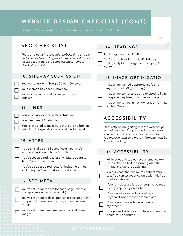# **WEBSITE DESIGN CHECKLIST (CONT)**

*Read the full article with more information about each item in the list [here](https://jototheweb.com/website-design-checklist).*

## SEO CHECKLIST

*There's no point in a beautiful website if no one can find it. While Search Engine Optimization (SEO) is a massive topic, here are some essential items to check off your list.*

#### 10. SITEMAP SUBMISSION

You are set up with Google Search Console.

Your sitemap has been submitted.

You've checked to make sure your site is indexed.

#### 11. LINKS

You've set up your permalink structure.

Your links are SEO friendly.

You've checked to make sure there are no broken links. Don't forget about all social media icons!

#### 12. HTTPS

You've installed an SSL certificate (your site's address begins with https:// not http://).

You've set up a redirect for any visitors going to http://yourdomain.com.

You've also set up redirects for including or not including the "www" before your domain.

#### 13. SEO META

You've set up meta titles for each page (the title that appears on the browser tab).

You've set up meta descriptions for each page (the snippet of information that may appear in search results).

You've set up featured images and social share images.

#### 14. HEADINGS

Each page has one H1 title.

You've used headings (H2, H3, H4 etc) strategically to best organize each page's content.

#### 15. IMAGE OPTIMIZATION

Images are named appropriately (using keywords not IMG\_002.jpeg).

Images are compressed and re-sized to fit in the space they take up on the webpage.

Images are served in next generation formats (such as WebP)

## ACCESSIBILITY

*And lastly before getting into the web design part of this checklist, you need to make sure your website is accessible for every visitor. This is a massive topic and more information can be found on w3.org.*

#### 16. ACCESSIBILITY

| All images and tables have alternative text<br>(also called alt text) describing what the<br>image and table is depicting. |
|----------------------------------------------------------------------------------------------------------------------------|
| Colours pass the minimum contrast ratio<br>test. You can test your colours with this free<br>contrast ratio test.          |
| Your font sizes are large enough to be read<br>clearly, especially on mobile.                                              |
| Your website can be browsed by a<br>keyboard, not a mouse or touch pad.                                                    |
| Your content is available without a<br>stylesheet.                                                                         |
| Images and videos do not have content that<br>could cause seizures.                                                        |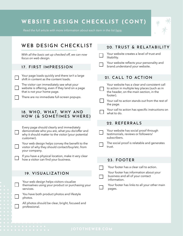# **WEBSITE DESIGN CHECKLIST (CONT)**

*Read the full article with more information about each item in the list [here](https://jototheweb.com/website-design-checklist).*



All photos should be clear, bright, focused and

professional.